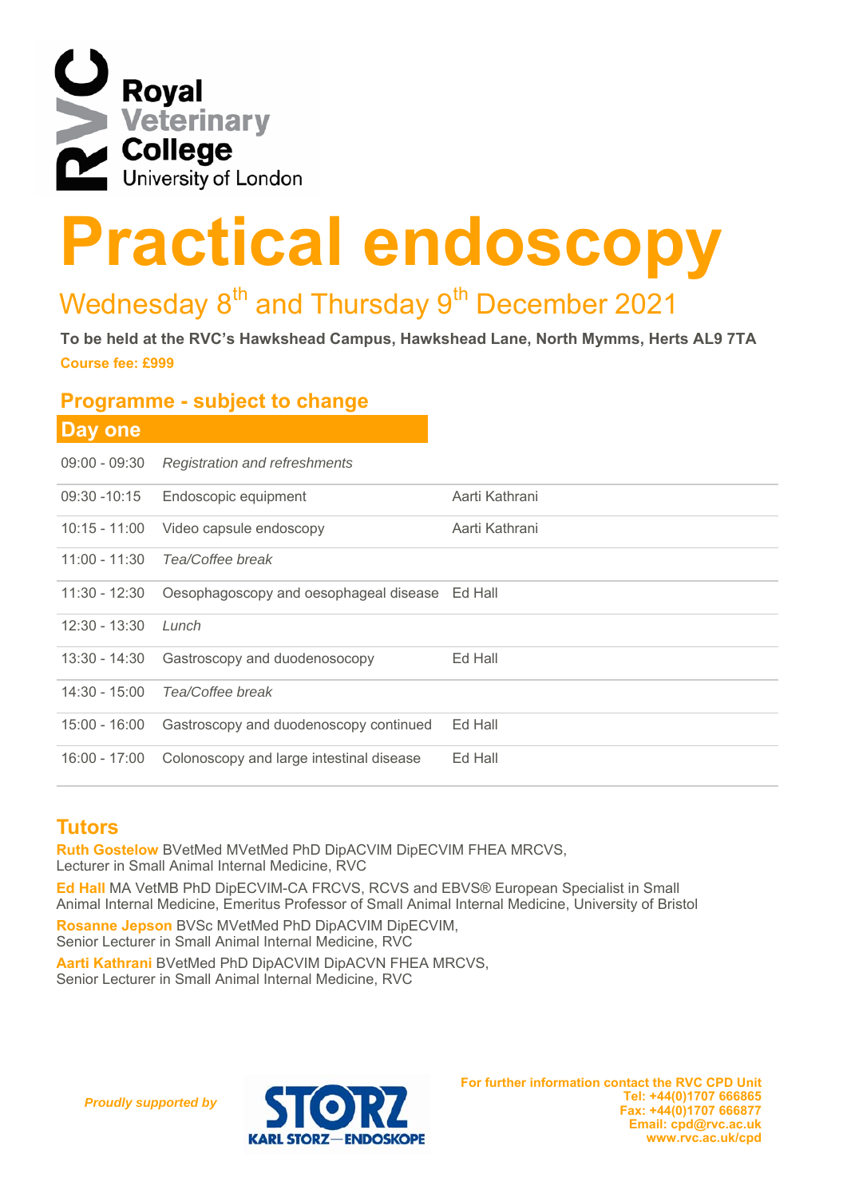

# **Practical endoscopy**<br> **Practical endoscopy**

# Wednesday 8<sup>th</sup> and Thursday 9<sup>th</sup> December 2021

**Course fee: £999 To be held at the RVC's Hawkshead Campus, Hawkshead Lane, North Mymms, Herts AL9 7TA** 

### **Programme - subject to change**

| <b>Day one</b>  |                                                |  |
|-----------------|------------------------------------------------|--|
| $09:00 - 09:30$ | <b>Registration and refreshments</b>           |  |
| 09:30 -10:15    | Endoscopic equipment                           |  |
| 10:15 - 11:00   | Video capsule endoscopy                        |  |
| 11:00 - 11:30   | Tea/Coffee break                               |  |
| 11:30 - 12:30   | Oesophagoscopy and oesophageal disease Ed Hall |  |
| $12:30 - 13:30$ | Lunch                                          |  |
| 13:30 - 14:30   | Gastroscopy and duodenosocopy                  |  |
| $14:30 - 15:00$ | Tea/Coffee break                               |  |
| 15:00 - 16:00   | Gastroscopy and duodenoscopy continued         |  |
| 16:00 - 17:00   | Colonoscopy and large intestinal disease       |  |

## **Tutors**

**Ruth Gostelow** BVetMed MVetMed PhD DipACVIM DipECVIM FHEA MRCVS, Lecturer in Small Animal Internal Medicine, RVC

**Ed Hall** MA VetMB PhD DipECVIM-CA FRCVS, RCVS and EBVS® European Specialist in Small Animal Internal Medicine, Emeritus Professor of Small Animal Internal Medicine, University of Bristol

**Rosanne Jepson** BVSc MVetMed PhD DipACVIM DipECVIM, Senior Lecturer in Small Animal Internal Medicine, RVC

**Aarti Kathrani** BVetMed PhD DipACVIM DipACVN FHEA MRCVS, Senior Lecturer in Small Animal Internal Medicine, RVC

*Proudly supported by*